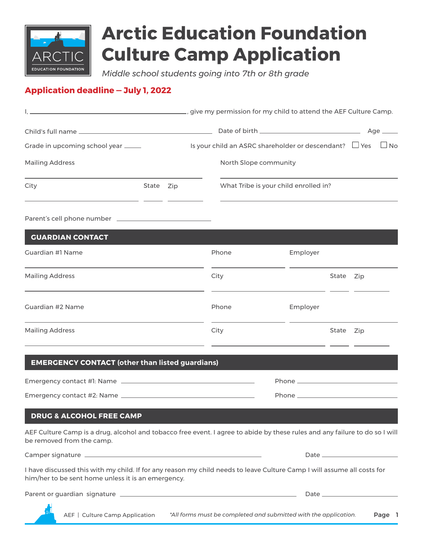

# **Arctic Education Foundation Culture Camp Application**

*Middle school students going into 7th or 8th grade* 

### **Application deadline — July 1, 2022**

| give my permission for my child to attend the AEF Culture Camp.                                                                                                               |                                                    |  |  |       |                                                        |          |           |  |           |
|-------------------------------------------------------------------------------------------------------------------------------------------------------------------------------|----------------------------------------------------|--|--|-------|--------------------------------------------------------|----------|-----------|--|-----------|
|                                                                                                                                                                               |                                                    |  |  |       |                                                        |          |           |  | Age __    |
| Grade in upcoming school year _____                                                                                                                                           |                                                    |  |  |       | Is your child an ASRC shareholder or descendant? □ Yes |          |           |  | $\Box$ No |
| <b>Mailing Address</b>                                                                                                                                                        |                                                    |  |  |       | North Slope community                                  |          |           |  |           |
| City<br><u> 1989 - Andrea Maria Alemania, poeta esperanto-</u>                                                                                                                | What Tribe is your child enrolled in?<br>State Zip |  |  |       |                                                        |          |           |  |           |
|                                                                                                                                                                               |                                                    |  |  |       |                                                        |          |           |  |           |
| <b>GUARDIAN CONTACT</b>                                                                                                                                                       |                                                    |  |  |       |                                                        |          |           |  |           |
| Guardian #1 Name                                                                                                                                                              |                                                    |  |  | Phone |                                                        | Employer |           |  |           |
| <b>Mailing Address</b>                                                                                                                                                        |                                                    |  |  | City  |                                                        |          | State Zip |  |           |
| Guardian #2 Name                                                                                                                                                              |                                                    |  |  | Phone |                                                        | Employer |           |  |           |
| <b>Mailing Address</b>                                                                                                                                                        |                                                    |  |  | City  |                                                        |          | State Zip |  |           |
| <b>EMERGENCY CONTACT (other than listed guardians)</b>                                                                                                                        |                                                    |  |  |       |                                                        |          |           |  |           |
|                                                                                                                                                                               |                                                    |  |  |       |                                                        |          |           |  |           |
|                                                                                                                                                                               |                                                    |  |  |       |                                                        |          |           |  |           |
| <b>DRUG &amp; ALCOHOL FREE CAMP</b>                                                                                                                                           |                                                    |  |  |       |                                                        |          |           |  |           |
| AEF Culture Camp is a drug, alcohol and tobacco free event. I agree to abide by these rules and any failure to do so I will<br>be removed from the camp.                      |                                                    |  |  |       |                                                        |          |           |  |           |
|                                                                                                                                                                               |                                                    |  |  |       |                                                        |          |           |  |           |
| I have discussed this with my child. If for any reason my child needs to leave Culture Camp I will assume all costs for<br>him/her to be sent home unless it is an emergency. |                                                    |  |  |       |                                                        |          |           |  |           |
|                                                                                                                                                                               |                                                    |  |  |       |                                                        |          |           |  |           |
|                                                                                                                                                                               |                                                    |  |  |       |                                                        |          |           |  |           |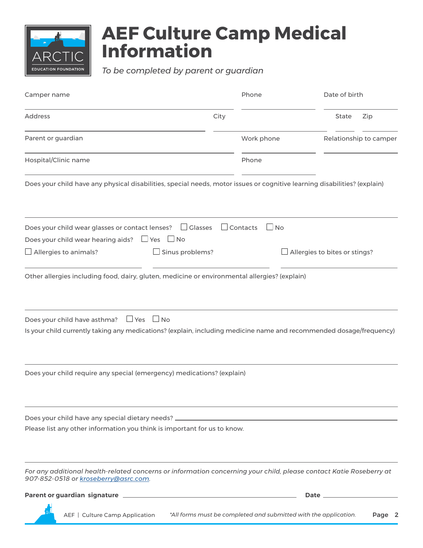

## **AEF Culture Camp Medical Information**

*To be completed by parent or guardian*

| Camper name                                                                                                |                                                                                                                                                | Phone                        | Date of birth          |  |  |
|------------------------------------------------------------------------------------------------------------|------------------------------------------------------------------------------------------------------------------------------------------------|------------------------------|------------------------|--|--|
| <b>Address</b>                                                                                             | City                                                                                                                                           |                              | State<br>Zip           |  |  |
| Parent or guardian                                                                                         |                                                                                                                                                | Work phone                   | Relationship to camper |  |  |
| Hospital/Clinic name                                                                                       |                                                                                                                                                | Phone                        |                        |  |  |
|                                                                                                            | Does your child have any physical disabilities, special needs, motor issues or cognitive learning disabilities? (explain)                      |                              |                        |  |  |
| Does your child wear glasses or contact lenses?<br>Does your child wear hearing aids? $\Box$ Yes $\Box$ No | $\Box$ Glasses                                                                                                                                 | $\Box$ Contacts<br>$\Box$ No |                        |  |  |
| $\Box$ Allergies to animals?                                                                               | Sinus problems?<br>Allergies to bites or stings?                                                                                               |                              |                        |  |  |
| Does your child have asthma?                                                                               | $\Box$ Yes<br>$\Box$ No<br>Is your child currently taking any medications? (explain, including medicine name and recommended dosage/frequency) |                              |                        |  |  |
|                                                                                                            | Does your child require any special (emergency) medications? (explain)                                                                         |                              |                        |  |  |
|                                                                                                            | Please list any other information you think is important for us to know.                                                                       |                              |                        |  |  |
| 907-852-0518 or kroseberry@asrc.com.                                                                       | For any additional health-related concerns or information concerning your child, please contact Katie Roseberry at                             |                              |                        |  |  |
|                                                                                                            |                                                                                                                                                |                              | Date _____             |  |  |
| AEF   Culture Camp Application                                                                             | *All forms must be completed and submitted with the application.                                                                               |                              | Page 2                 |  |  |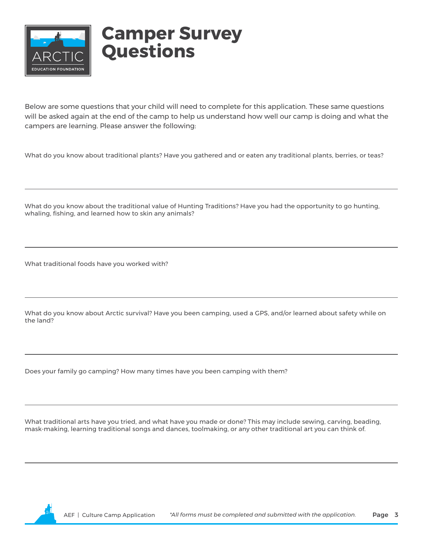

### **Camper Survey Questions**

Below are some questions that your child will need to complete for this application. These same questions will be asked again at the end of the camp to help us understand how well our camp is doing and what the campers are learning. Please answer the following:

What do you know about traditional plants? Have you gathered and or eaten any traditional plants, berries, or teas?

What do you know about the traditional value of Hunting Traditions? Have you had the opportunity to go hunting, whaling, fishing, and learned how to skin any animals?

What traditional foods have you worked with?

What do you know about Arctic survival? Have you been camping, used a GPS, and/or learned about safety while on the land?

Does your family go camping? How many times have you been camping with them?

What traditional arts have you tried, and what have you made or done? This may include sewing, carving, beading, mask-making, learning traditional songs and dances, toolmaking, or any other traditional art you can think of.